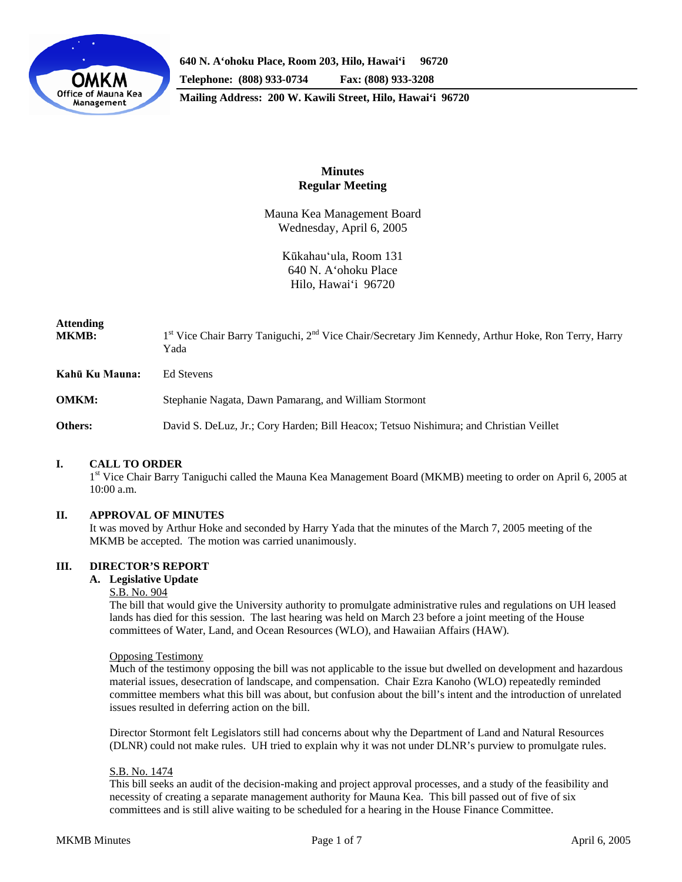

# **Minutes Regular Meeting**

Mauna Kea Management Board Wednesday, April 6, 2005

> Kūkahau'ula, Room 131 640 N. A'ohoku Place Hilo, Hawai'i 96720

# **Attending**

MKMB: 1<sup>st</sup> Vice Chair Barry Taniguchi, 2<sup>nd</sup> Vice Chair/Secretary Jim Kennedy, Arthur Hoke, Ron Terry, Harry Yada

**Kahū Ku Mauna:** Ed Stevens

**OMKM:** Stephanie Nagata, Dawn Pamarang, and William Stormont

**Others:** David S. DeLuz, Jr.; Cory Harden; Bill Heacox; Tetsuo Nishimura; and Christian Veillet

## **I. CALL TO ORDER**

1<sup>st</sup> Vice Chair Barry Taniguchi called the Mauna Kea Management Board (MKMB) meeting to order on April 6, 2005 at 10:00 a.m.

## **II. APPROVAL OF MINUTES**

It was moved by Arthur Hoke and seconded by Harry Yada that the minutes of the March 7, 2005 meeting of the MKMB be accepted. The motion was carried unanimously.

## **III. DIRECTOR'S REPORT**

#### **A. Legislative Update**

S.B. No. 904

The bill that would give the University authority to promulgate administrative rules and regulations on UH leased lands has died for this session. The last hearing was held on March 23 before a joint meeting of the House committees of Water, Land, and Ocean Resources (WLO), and Hawaiian Affairs (HAW).

#### Opposing Testimony

Much of the testimony opposing the bill was not applicable to the issue but dwelled on development and hazardous material issues, desecration of landscape, and compensation. Chair Ezra Kanoho (WLO) repeatedly reminded committee members what this bill was about, but confusion about the bill's intent and the introduction of unrelated issues resulted in deferring action on the bill.

Director Stormont felt Legislators still had concerns about why the Department of Land and Natural Resources (DLNR) could not make rules. UH tried to explain why it was not under DLNR's purview to promulgate rules.

#### S.B. No. 1474

This bill seeks an audit of the decision-making and project approval processes, and a study of the feasibility and necessity of creating a separate management authority for Mauna Kea. This bill passed out of five of six committees and is still alive waiting to be scheduled for a hearing in the House Finance Committee.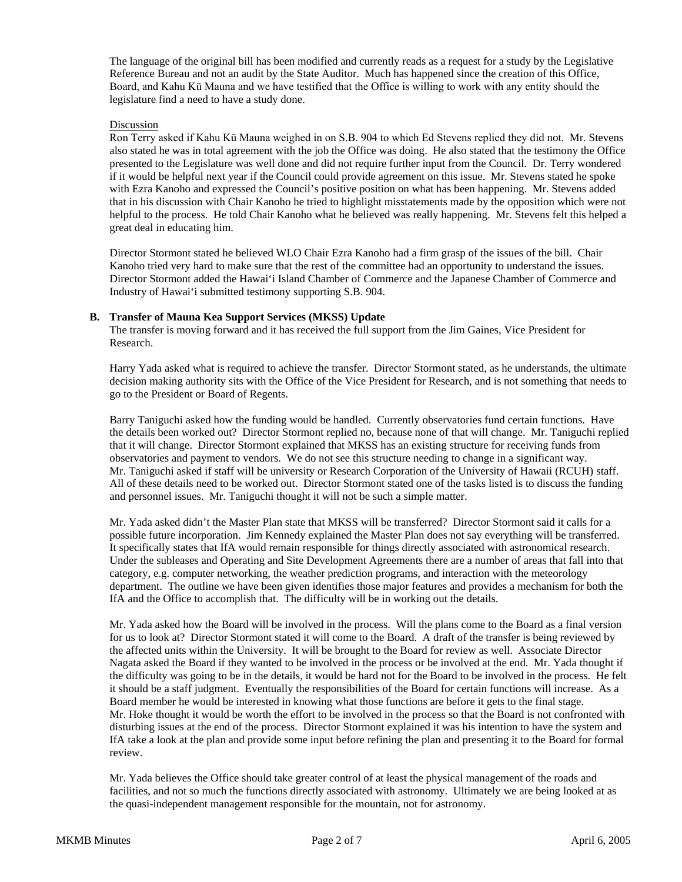The language of the original bill has been modified and currently reads as a request for a study by the Legislative Reference Bureau and not an audit by the State Auditor. Much has happened since the creation of this Office, Board, and Kahu Kū Mauna and we have testified that the Office is willing to work with any entity should the legislature find a need to have a study done.

#### Discussion

Ron Terry asked if Kahu Kū Mauna weighed in on S.B. 904 to which Ed Stevens replied they did not. Mr. Stevens also stated he was in total agreement with the job the Office was doing. He also stated that the testimony the Office presented to the Legislature was well done and did not require further input from the Council. Dr. Terry wondered if it would be helpful next year if the Council could provide agreement on this issue. Mr. Stevens stated he spoke with Ezra Kanoho and expressed the Council's positive position on what has been happening. Mr. Stevens added that in his discussion with Chair Kanoho he tried to highlight misstatements made by the opposition which were not helpful to the process. He told Chair Kanoho what he believed was really happening. Mr. Stevens felt this helped a great deal in educating him.

Director Stormont stated he believed WLO Chair Ezra Kanoho had a firm grasp of the issues of the bill. Chair Kanoho tried very hard to make sure that the rest of the committee had an opportunity to understand the issues. Director Stormont added the Hawai'i Island Chamber of Commerce and the Japanese Chamber of Commerce and Industry of Hawai'i submitted testimony supporting S.B. 904.

#### **B. Transfer of Mauna Kea Support Services (MKSS) Update**

The transfer is moving forward and it has received the full support from the Jim Gaines, Vice President for Research.

Harry Yada asked what is required to achieve the transfer. Director Stormont stated, as he understands, the ultimate decision making authority sits with the Office of the Vice President for Research, and is not something that needs to go to the President or Board of Regents.

Barry Taniguchi asked how the funding would be handled. Currently observatories fund certain functions. Have the details been worked out? Director Stormont replied no, because none of that will change. Mr. Taniguchi replied that it will change. Director Stormont explained that MKSS has an existing structure for receiving funds from observatories and payment to vendors. We do not see this structure needing to change in a significant way. Mr. Taniguchi asked if staff will be university or Research Corporation of the University of Hawaii (RCUH) staff. All of these details need to be worked out. Director Stormont stated one of the tasks listed is to discuss the funding and personnel issues. Mr. Taniguchi thought it will not be such a simple matter.

Mr. Yada asked didn't the Master Plan state that MKSS will be transferred? Director Stormont said it calls for a possible future incorporation. Jim Kennedy explained the Master Plan does not say everything will be transferred. It specifically states that IfA would remain responsible for things directly associated with astronomical research. Under the subleases and Operating and Site Development Agreements there are a number of areas that fall into that category, e.g. computer networking, the weather prediction programs, and interaction with the meteorology department. The outline we have been given identifies those major features and provides a mechanism for both the IfA and the Office to accomplish that. The difficulty will be in working out the details.

Mr. Yada asked how the Board will be involved in the process. Will the plans come to the Board as a final version for us to look at? Director Stormont stated it will come to the Board. A draft of the transfer is being reviewed by the affected units within the University. It will be brought to the Board for review as well. Associate Director Nagata asked the Board if they wanted to be involved in the process or be involved at the end. Mr. Yada thought if the difficulty was going to be in the details, it would be hard not for the Board to be involved in the process. He felt it should be a staff judgment. Eventually the responsibilities of the Board for certain functions will increase. As a Board member he would be interested in knowing what those functions are before it gets to the final stage. Mr. Hoke thought it would be worth the effort to be involved in the process so that the Board is not confronted with disturbing issues at the end of the process. Director Stormont explained it was his intention to have the system and IfA take a look at the plan and provide some input before refining the plan and presenting it to the Board for formal review.

Mr. Yada believes the Office should take greater control of at least the physical management of the roads and facilities, and not so much the functions directly associated with astronomy. Ultimately we are being looked at as the quasi-independent management responsible for the mountain, not for astronomy.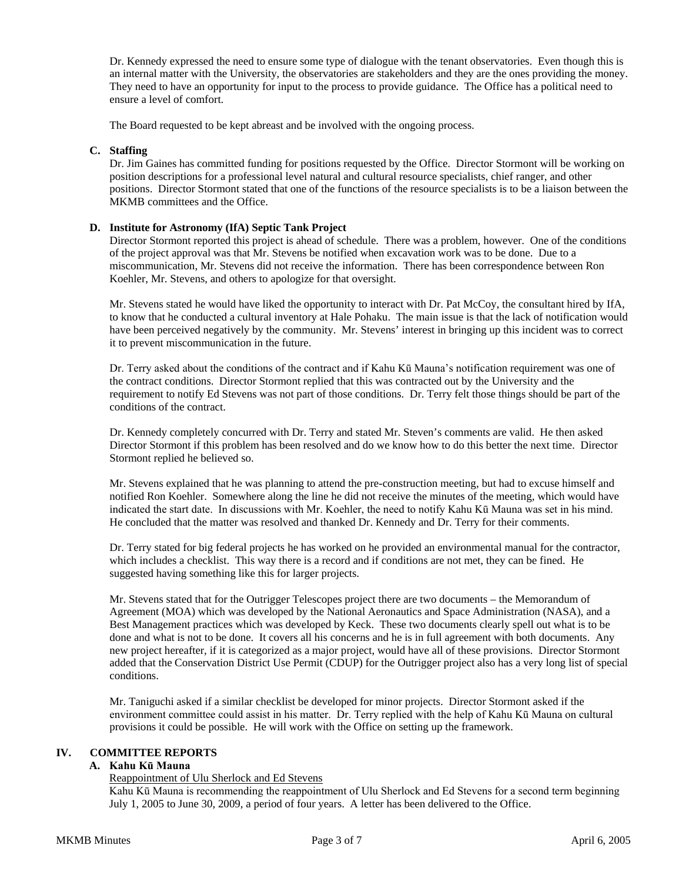Dr. Kennedy expressed the need to ensure some type of dialogue with the tenant observatories. Even though this is an internal matter with the University, the observatories are stakeholders and they are the ones providing the money. They need to have an opportunity for input to the process to provide guidance. The Office has a political need to ensure a level of comfort.

The Board requested to be kept abreast and be involved with the ongoing process.

### **C. Staffing**

Dr. Jim Gaines has committed funding for positions requested by the Office. Director Stormont will be working on position descriptions for a professional level natural and cultural resource specialists, chief ranger, and other positions. Director Stormont stated that one of the functions of the resource specialists is to be a liaison between the MKMB committees and the Office.

#### **D. Institute for Astronomy (IfA) Septic Tank Project**

Director Stormont reported this project is ahead of schedule. There was a problem, however. One of the conditions of the project approval was that Mr. Stevens be notified when excavation work was to be done. Due to a miscommunication, Mr. Stevens did not receive the information. There has been correspondence between Ron Koehler, Mr. Stevens, and others to apologize for that oversight.

Mr. Stevens stated he would have liked the opportunity to interact with Dr. Pat McCoy, the consultant hired by IfA, to know that he conducted a cultural inventory at Hale Pohaku. The main issue is that the lack of notification would have been perceived negatively by the community. Mr. Stevens' interest in bringing up this incident was to correct it to prevent miscommunication in the future.

Dr. Terry asked about the conditions of the contract and if Kahu Kū Mauna's notification requirement was one of the contract conditions. Director Stormont replied that this was contracted out by the University and the requirement to notify Ed Stevens was not part of those conditions. Dr. Terry felt those things should be part of the conditions of the contract.

Dr. Kennedy completely concurred with Dr. Terry and stated Mr. Steven's comments are valid. He then asked Director Stormont if this problem has been resolved and do we know how to do this better the next time. Director Stormont replied he believed so.

Mr. Stevens explained that he was planning to attend the pre-construction meeting, but had to excuse himself and notified Ron Koehler. Somewhere along the line he did not receive the minutes of the meeting, which would have indicated the start date. In discussions with Mr. Koehler, the need to notify Kahu Kū Mauna was set in his mind. He concluded that the matter was resolved and thanked Dr. Kennedy and Dr. Terry for their comments.

Dr. Terry stated for big federal projects he has worked on he provided an environmental manual for the contractor, which includes a checklist. This way there is a record and if conditions are not met, they can be fined. He suggested having something like this for larger projects.

Mr. Stevens stated that for the Outrigger Telescopes project there are two documents – the Memorandum of Agreement (MOA) which was developed by the National Aeronautics and Space Administration (NASA), and a Best Management practices which was developed by Keck. These two documents clearly spell out what is to be done and what is not to be done. It covers all his concerns and he is in full agreement with both documents. Any new project hereafter, if it is categorized as a major project, would have all of these provisions. Director Stormont added that the Conservation District Use Permit (CDUP) for the Outrigger project also has a very long list of special conditions.

Mr. Taniguchi asked if a similar checklist be developed for minor projects. Director Stormont asked if the environment committee could assist in his matter. Dr. Terry replied with the help of Kahu Kū Mauna on cultural provisions it could be possible. He will work with the Office on setting up the framework.

# **IV. COMMITTEE REPORTS**

# **A. Kahu Kū Mauna**

#### Reappointment of Ulu Sherlock and Ed Stevens

Kahu Kū Mauna is recommending the reappointment of Ulu Sherlock and Ed Stevens for a second term beginning July 1, 2005 to June 30, 2009, a period of four years. A letter has been delivered to the Office.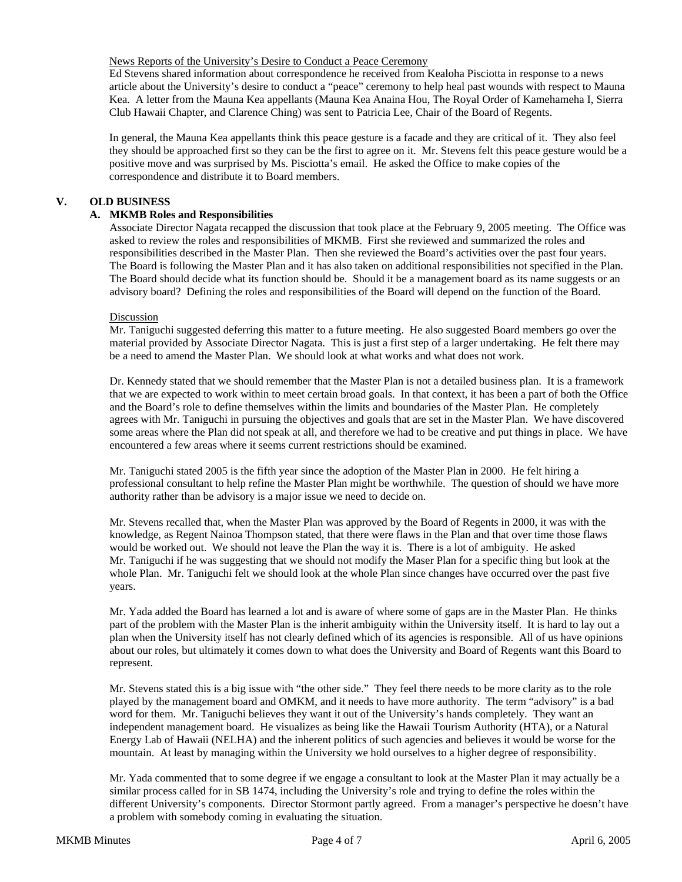### News Reports of the University's Desire to Conduct a Peace Ceremony

Ed Stevens shared information about correspondence he received from Kealoha Pisciotta in response to a news article about the University's desire to conduct a "peace" ceremony to help heal past wounds with respect to Mauna Kea. A letter from the Mauna Kea appellants (Mauna Kea Anaina Hou, The Royal Order of Kamehameha I, Sierra Club Hawaii Chapter, and Clarence Ching) was sent to Patricia Lee, Chair of the Board of Regents.

In general, the Mauna Kea appellants think this peace gesture is a facade and they are critical of it. They also feel they should be approached first so they can be the first to agree on it. Mr. Stevens felt this peace gesture would be a positive move and was surprised by Ms. Pisciotta's email. He asked the Office to make copies of the correspondence and distribute it to Board members.

# **V. OLD BUSINESS**

## **A. MKMB Roles and Responsibilities**

Associate Director Nagata recapped the discussion that took place at the February 9, 2005 meeting. The Office was asked to review the roles and responsibilities of MKMB. First she reviewed and summarized the roles and responsibilities described in the Master Plan. Then she reviewed the Board's activities over the past four years. The Board is following the Master Plan and it has also taken on additional responsibilities not specified in the Plan. The Board should decide what its function should be. Should it be a management board as its name suggests or an advisory board? Defining the roles and responsibilities of the Board will depend on the function of the Board.

#### Discussion

Mr. Taniguchi suggested deferring this matter to a future meeting. He also suggested Board members go over the material provided by Associate Director Nagata. This is just a first step of a larger undertaking. He felt there may be a need to amend the Master Plan. We should look at what works and what does not work.

Dr. Kennedy stated that we should remember that the Master Plan is not a detailed business plan. It is a framework that we are expected to work within to meet certain broad goals. In that context, it has been a part of both the Office and the Board's role to define themselves within the limits and boundaries of the Master Plan. He completely agrees with Mr. Taniguchi in pursuing the objectives and goals that are set in the Master Plan. We have discovered some areas where the Plan did not speak at all, and therefore we had to be creative and put things in place. We have encountered a few areas where it seems current restrictions should be examined.

Mr. Taniguchi stated 2005 is the fifth year since the adoption of the Master Plan in 2000. He felt hiring a professional consultant to help refine the Master Plan might be worthwhile. The question of should we have more authority rather than be advisory is a major issue we need to decide on.

Mr. Stevens recalled that, when the Master Plan was approved by the Board of Regents in 2000, it was with the knowledge, as Regent Nainoa Thompson stated, that there were flaws in the Plan and that over time those flaws would be worked out. We should not leave the Plan the way it is. There is a lot of ambiguity. He asked Mr. Taniguchi if he was suggesting that we should not modify the Maser Plan for a specific thing but look at the whole Plan. Mr. Taniguchi felt we should look at the whole Plan since changes have occurred over the past five years.

Mr. Yada added the Board has learned a lot and is aware of where some of gaps are in the Master Plan. He thinks part of the problem with the Master Plan is the inherit ambiguity within the University itself. It is hard to lay out a plan when the University itself has not clearly defined which of its agencies is responsible. All of us have opinions about our roles, but ultimately it comes down to what does the University and Board of Regents want this Board to represent.

Mr. Stevens stated this is a big issue with "the other side." They feel there needs to be more clarity as to the role played by the management board and OMKM, and it needs to have more authority. The term "advisory" is a bad word for them. Mr. Taniguchi believes they want it out of the University's hands completely. They want an independent management board. He visualizes as being like the Hawaii Tourism Authority (HTA), or a Natural Energy Lab of Hawaii (NELHA) and the inherent politics of such agencies and believes it would be worse for the mountain. At least by managing within the University we hold ourselves to a higher degree of responsibility.

Mr. Yada commented that to some degree if we engage a consultant to look at the Master Plan it may actually be a similar process called for in SB 1474, including the University's role and trying to define the roles within the different University's components. Director Stormont partly agreed. From a manager's perspective he doesn't have a problem with somebody coming in evaluating the situation.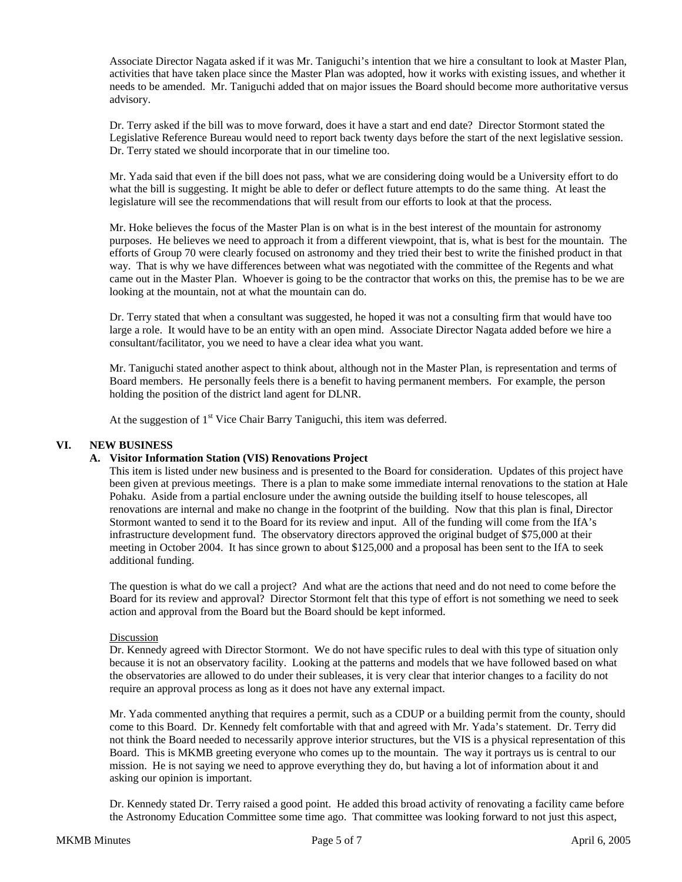Associate Director Nagata asked if it was Mr. Taniguchi's intention that we hire a consultant to look at Master Plan, activities that have taken place since the Master Plan was adopted, how it works with existing issues, and whether it needs to be amended. Mr. Taniguchi added that on major issues the Board should become more authoritative versus advisory.

Dr. Terry asked if the bill was to move forward, does it have a start and end date? Director Stormont stated the Legislative Reference Bureau would need to report back twenty days before the start of the next legislative session. Dr. Terry stated we should incorporate that in our timeline too.

Mr. Yada said that even if the bill does not pass, what we are considering doing would be a University effort to do what the bill is suggesting. It might be able to defer or deflect future attempts to do the same thing. At least the legislature will see the recommendations that will result from our efforts to look at that the process.

Mr. Hoke believes the focus of the Master Plan is on what is in the best interest of the mountain for astronomy purposes. He believes we need to approach it from a different viewpoint, that is, what is best for the mountain. The efforts of Group 70 were clearly focused on astronomy and they tried their best to write the finished product in that way. That is why we have differences between what was negotiated with the committee of the Regents and what came out in the Master Plan. Whoever is going to be the contractor that works on this, the premise has to be we are looking at the mountain, not at what the mountain can do.

Dr. Terry stated that when a consultant was suggested, he hoped it was not a consulting firm that would have too large a role. It would have to be an entity with an open mind. Associate Director Nagata added before we hire a consultant/facilitator, you we need to have a clear idea what you want.

Mr. Taniguchi stated another aspect to think about, although not in the Master Plan, is representation and terms of Board members. He personally feels there is a benefit to having permanent members. For example, the person holding the position of the district land agent for DLNR.

At the suggestion of  $1<sup>st</sup>$  Vice Chair Barry Taniguchi, this item was deferred.

### **VI. NEW BUSINESS**

## **A. Visitor Information Station (VIS) Renovations Project**

This item is listed under new business and is presented to the Board for consideration. Updates of this project have been given at previous meetings. There is a plan to make some immediate internal renovations to the station at Hale Pohaku. Aside from a partial enclosure under the awning outside the building itself to house telescopes, all renovations are internal and make no change in the footprint of the building. Now that this plan is final, Director Stormont wanted to send it to the Board for its review and input. All of the funding will come from the IfA's infrastructure development fund. The observatory directors approved the original budget of \$75,000 at their meeting in October 2004. It has since grown to about \$125,000 and a proposal has been sent to the IfA to seek additional funding.

The question is what do we call a project? And what are the actions that need and do not need to come before the Board for its review and approval? Director Stormont felt that this type of effort is not something we need to seek action and approval from the Board but the Board should be kept informed.

#### Discussion

Dr. Kennedy agreed with Director Stormont. We do not have specific rules to deal with this type of situation only because it is not an observatory facility. Looking at the patterns and models that we have followed based on what the observatories are allowed to do under their subleases, it is very clear that interior changes to a facility do not require an approval process as long as it does not have any external impact.

Mr. Yada commented anything that requires a permit, such as a CDUP or a building permit from the county, should come to this Board. Dr. Kennedy felt comfortable with that and agreed with Mr. Yada's statement. Dr. Terry did not think the Board needed to necessarily approve interior structures, but the VIS is a physical representation of this Board. This is MKMB greeting everyone who comes up to the mountain. The way it portrays us is central to our mission. He is not saying we need to approve everything they do, but having a lot of information about it and asking our opinion is important.

Dr. Kennedy stated Dr. Terry raised a good point. He added this broad activity of renovating a facility came before the Astronomy Education Committee some time ago. That committee was looking forward to not just this aspect,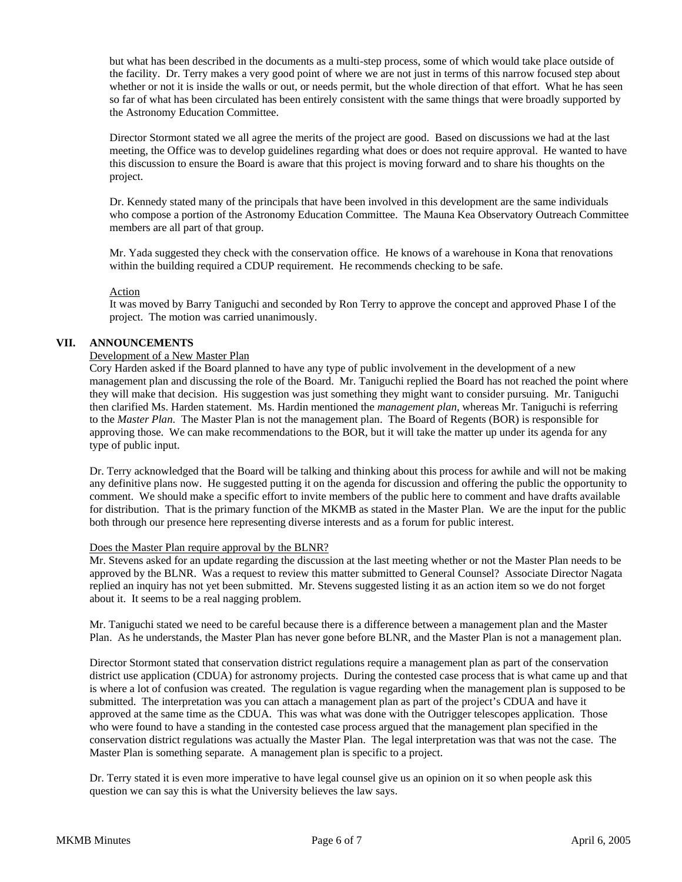but what has been described in the documents as a multi-step process, some of which would take place outside of the facility. Dr. Terry makes a very good point of where we are not just in terms of this narrow focused step about whether or not it is inside the walls or out, or needs permit, but the whole direction of that effort. What he has seen so far of what has been circulated has been entirely consistent with the same things that were broadly supported by the Astronomy Education Committee.

Director Stormont stated we all agree the merits of the project are good. Based on discussions we had at the last meeting, the Office was to develop guidelines regarding what does or does not require approval. He wanted to have this discussion to ensure the Board is aware that this project is moving forward and to share his thoughts on the project.

Dr. Kennedy stated many of the principals that have been involved in this development are the same individuals who compose a portion of the Astronomy Education Committee. The Mauna Kea Observatory Outreach Committee members are all part of that group.

Mr. Yada suggested they check with the conservation office. He knows of a warehouse in Kona that renovations within the building required a CDUP requirement. He recommends checking to be safe.

#### Action

It was moved by Barry Taniguchi and seconded by Ron Terry to approve the concept and approved Phase I of the project. The motion was carried unanimously.

## **VII. ANNOUNCEMENTS**

#### Development of a New Master Plan

Cory Harden asked if the Board planned to have any type of public involvement in the development of a new management plan and discussing the role of the Board. Mr. Taniguchi replied the Board has not reached the point where they will make that decision. His suggestion was just something they might want to consider pursuing. Mr. Taniguchi then clarified Ms. Harden statement. Ms. Hardin mentioned the *management plan*, whereas Mr. Taniguchi is referring to the *Master Plan*. The Master Plan is not the management plan. The Board of Regents (BOR) is responsible for approving those. We can make recommendations to the BOR, but it will take the matter up under its agenda for any type of public input.

Dr. Terry acknowledged that the Board will be talking and thinking about this process for awhile and will not be making any definitive plans now. He suggested putting it on the agenda for discussion and offering the public the opportunity to comment. We should make a specific effort to invite members of the public here to comment and have drafts available for distribution. That is the primary function of the MKMB as stated in the Master Plan. We are the input for the public both through our presence here representing diverse interests and as a forum for public interest.

#### Does the Master Plan require approval by the BLNR?

Mr. Stevens asked for an update regarding the discussion at the last meeting whether or not the Master Plan needs to be approved by the BLNR. Was a request to review this matter submitted to General Counsel? Associate Director Nagata replied an inquiry has not yet been submitted. Mr. Stevens suggested listing it as an action item so we do not forget about it. It seems to be a real nagging problem.

Mr. Taniguchi stated we need to be careful because there is a difference between a management plan and the Master Plan. As he understands, the Master Plan has never gone before BLNR, and the Master Plan is not a management plan.

Director Stormont stated that conservation district regulations require a management plan as part of the conservation district use application (CDUA) for astronomy projects. During the contested case process that is what came up and that is where a lot of confusion was created. The regulation is vague regarding when the management plan is supposed to be submitted. The interpretation was you can attach a management plan as part of the project's CDUA and have it approved at the same time as the CDUA. This was what was done with the Outrigger telescopes application. Those who were found to have a standing in the contested case process argued that the management plan specified in the conservation district regulations was actually the Master Plan. The legal interpretation was that was not the case. The Master Plan is something separate. A management plan is specific to a project.

Dr. Terry stated it is even more imperative to have legal counsel give us an opinion on it so when people ask this question we can say this is what the University believes the law says.